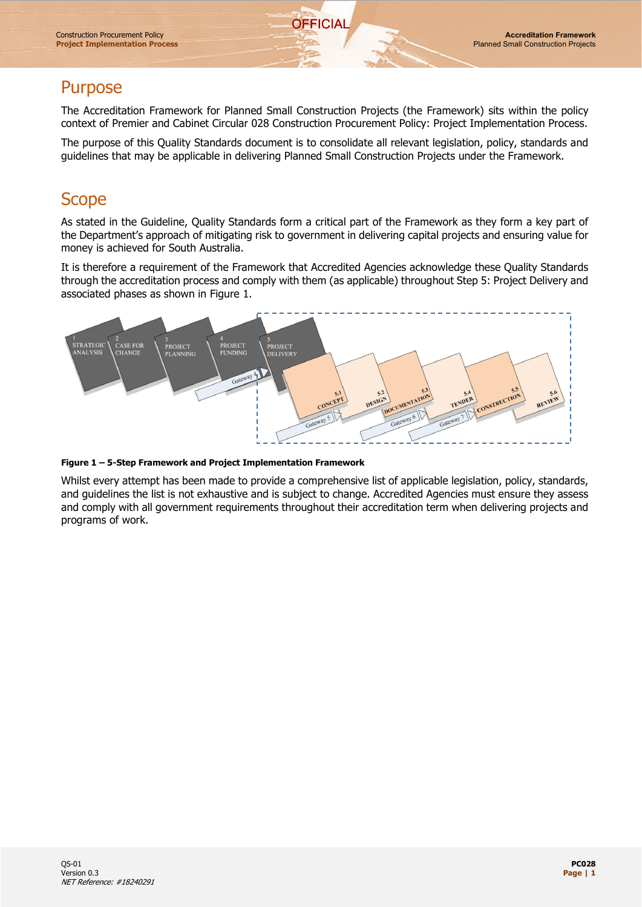### **Purpose**

The Accreditation Framework for Planned Small Construction Projects (the Framework) sits within the policy context of Premier and Cabinet Circular 028 Construction Procurement Policy: Project Implementation Process.

**OFFICIAL** 

The purpose of this Quality Standards document is to consolidate all relevant legislation, policy, standards and guidelines that may be applicable in delivering Planned Small Construction Projects under the Framework.

## **Scope**

As stated in the Guideline, Quality Standards form a critical part of the Framework as they form a key part of the Department's approach of mitigating risk to government in delivering capital projects and ensuring value for money is achieved for South Australia.

It is therefore a requirement of the Framework that Accredited Agencies acknowledge these Quality Standards through the accreditation process and comply with them (as applicable) throughout Step 5: Project Delivery and associated phases as shown in Figure 1.



#### **Figure 1 – 5-Step Framework and Project Implementation Framework**

Whilst every attempt has been made to provide a comprehensive list of applicable legislation, policy, standards, and guidelines the list is not exhaustive and is subject to change. Accredited Agencies must ensure they assess and comply with all government requirements throughout their accreditation term when delivering projects and programs of work.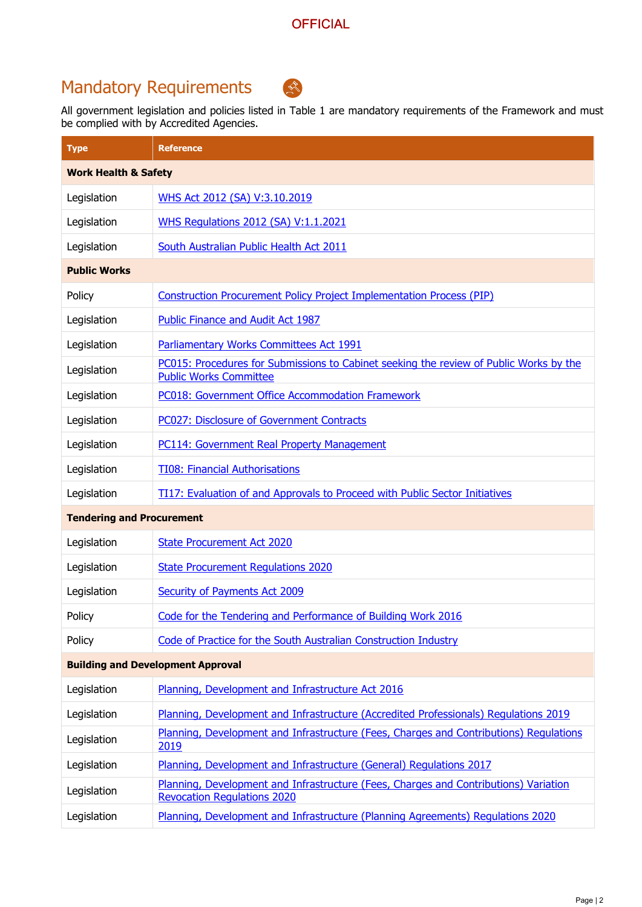# Mandatory Requirements



All government legislation and policies listed in Table 1 are mandatory requirements of the Framework and must be complied with by Accredited Agencies.

| <b>Type</b>                              | <b>Reference</b>                                                                                                           |  |
|------------------------------------------|----------------------------------------------------------------------------------------------------------------------------|--|
| <b>Work Health &amp; Safety</b>          |                                                                                                                            |  |
| Legislation                              | WHS Act 2012 (SA) V:3.10.2019                                                                                              |  |
| Legislation                              | <b>WHS Regulations 2012 (SA) V:1.1.2021</b>                                                                                |  |
| Legislation                              | South Australian Public Health Act 2011                                                                                    |  |
| <b>Public Works</b>                      |                                                                                                                            |  |
| Policy                                   | <b>Construction Procurement Policy Project Implementation Process (PIP)</b>                                                |  |
| Legislation                              | Public Finance and Audit Act 1987                                                                                          |  |
| Legislation                              | Parliamentary Works Committees Act 1991                                                                                    |  |
| Legislation                              | PC015: Procedures for Submissions to Cabinet seeking the review of Public Works by the<br><b>Public Works Committee</b>    |  |
| Legislation                              | <b>PC018: Government Office Accommodation Framework</b>                                                                    |  |
| Legislation                              | PC027: Disclosure of Government Contracts                                                                                  |  |
| Legislation                              | <b>PC114: Government Real Property Management</b>                                                                          |  |
| Legislation                              | <b>TI08: Financial Authorisations</b>                                                                                      |  |
| Legislation                              | <b>TI17: Evaluation of and Approvals to Proceed with Public Sector Initiatives</b>                                         |  |
| <b>Tendering and Procurement</b>         |                                                                                                                            |  |
| Legislation                              | <b>State Procurement Act 2020</b>                                                                                          |  |
| Legislation                              | <b>State Procurement Regulations 2020</b>                                                                                  |  |
| Legislation                              | <b>Security of Payments Act 2009</b>                                                                                       |  |
| Policy                                   | Code for the Tendering and Performance of Building Work 2016                                                               |  |
| Policy                                   | Code of Practice for the South Australian Construction Industry                                                            |  |
| <b>Building and Development Approval</b> |                                                                                                                            |  |
| Legislation                              | Planning, Development and Infrastructure Act 2016                                                                          |  |
| Legislation                              | Planning, Development and Infrastructure (Accredited Professionals) Regulations 2019                                       |  |
| Legislation                              | Planning, Development and Infrastructure (Fees, Charges and Contributions) Regulations<br>2019                             |  |
| Legislation                              | Planning, Development and Infrastructure (General) Regulations 2017                                                        |  |
| Legislation                              | Planning, Development and Infrastructure (Fees, Charges and Contributions) Variation<br><b>Revocation Regulations 2020</b> |  |
| Legislation                              | Planning, Development and Infrastructure (Planning Agreements) Regulations 2020                                            |  |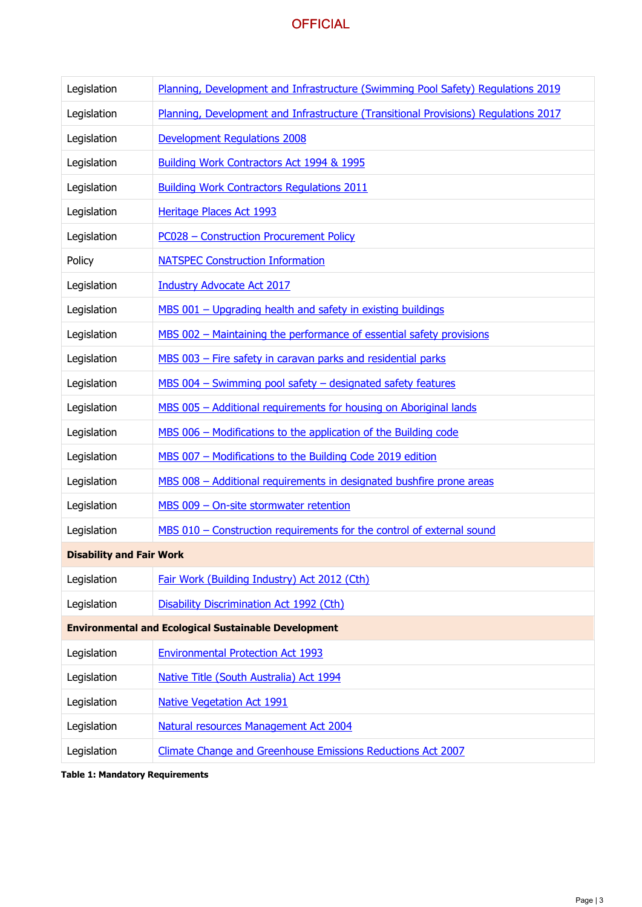#### **OFFICIAL**

| Legislation                                                 | Planning, Development and Infrastructure (Swimming Pool Safety) Regulations 2019    |  |
|-------------------------------------------------------------|-------------------------------------------------------------------------------------|--|
| Legislation                                                 | Planning, Development and Infrastructure (Transitional Provisions) Regulations 2017 |  |
| Legislation                                                 | <b>Development Requlations 2008</b>                                                 |  |
| Legislation                                                 | Building Work Contractors Act 1994 & 1995                                           |  |
| Legislation                                                 | <b>Building Work Contractors Regulations 2011</b>                                   |  |
| Legislation                                                 | Heritage Places Act 1993                                                            |  |
| Legislation                                                 | PC028 - Construction Procurement Policy                                             |  |
| Policy                                                      | <b>NATSPEC Construction Information</b>                                             |  |
| Legislation                                                 | <b>Industry Advocate Act 2017</b>                                                   |  |
| Legislation                                                 | MBS 001 - Upgrading health and safety in existing buildings                         |  |
| Legislation                                                 | MBS 002 - Maintaining the performance of essential safety provisions                |  |
| Legislation                                                 | MBS 003 - Fire safety in caravan parks and residential parks                        |  |
| Legislation                                                 | MBS 004 - Swimming pool safety - designated safety features                         |  |
| Legislation                                                 | MBS 005 - Additional requirements for housing on Aboriginal lands                   |  |
| Legislation                                                 | MBS 006 - Modifications to the application of the Building code                     |  |
| Legislation                                                 | MBS 007 - Modifications to the Building Code 2019 edition                           |  |
| Legislation                                                 | MBS 008 - Additional requirements in designated bushfire prone areas                |  |
| Legislation                                                 | MBS 009 - On-site stormwater retention                                              |  |
| Legislation                                                 | MBS 010 - Construction requirements for the control of external sound               |  |
| <b>Disability and Fair Work</b>                             |                                                                                     |  |
| Legislation                                                 | Fair Work (Building Industry) Act 2012 (Cth)                                        |  |
| Legislation                                                 | Disability Discrimination Act 1992 (Cth)                                            |  |
| <b>Environmental and Ecological Sustainable Development</b> |                                                                                     |  |
| Legislation                                                 | <b>Environmental Protection Act 1993</b>                                            |  |
| Legislation                                                 | Native Title (South Australia) Act 1994                                             |  |
| Legislation                                                 | <b>Native Vegetation Act 1991</b>                                                   |  |
| Legislation                                                 | Natural resources Management Act 2004                                               |  |
| Legislation                                                 | Climate Change and Greenhouse Emissions Reductions Act 2007                         |  |

**Table 1: Mandatory Requirements**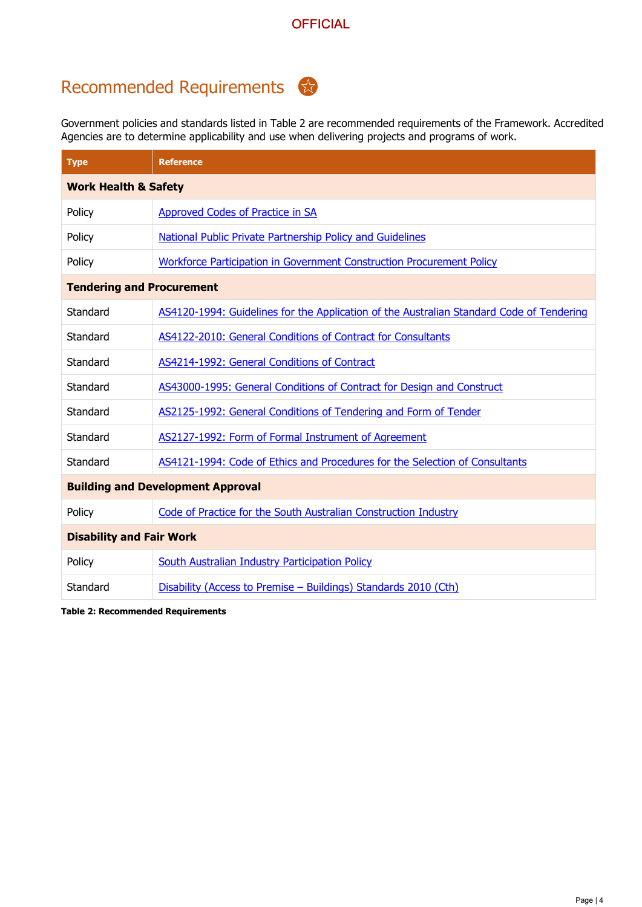## Recommended Requirements

Government policies and standards listed in Table 2 are recommended requirements of the Framework. Accredited Agencies are to determine applicability and use when delivering projects and programs of work.

| <b>Type</b>                              | <b>Reference</b>                                                                         |  |
|------------------------------------------|------------------------------------------------------------------------------------------|--|
| <b>Work Health &amp; Safety</b>          |                                                                                          |  |
| Policy                                   | Approved Codes of Practice in SA                                                         |  |
| Policy                                   | <b>National Public Private Partnership Policy and Guidelines</b>                         |  |
| Policy                                   | Workforce Participation in Government Construction Procurement Policy                    |  |
| <b>Tendering and Procurement</b>         |                                                                                          |  |
| Standard                                 | AS4120-1994: Guidelines for the Application of the Australian Standard Code of Tendering |  |
| Standard                                 | AS4122-2010: General Conditions of Contract for Consultants                              |  |
| Standard                                 | AS4214-1992: General Conditions of Contract                                              |  |
| Standard                                 | AS43000-1995: General Conditions of Contract for Design and Construct                    |  |
| Standard                                 | AS2125-1992: General Conditions of Tendering and Form of Tender                          |  |
| Standard                                 | AS2127-1992: Form of Formal Instrument of Agreement                                      |  |
| Standard                                 | AS4121-1994: Code of Ethics and Procedures for the Selection of Consultants              |  |
| <b>Building and Development Approval</b> |                                                                                          |  |
| Policy                                   | Code of Practice for the South Australian Construction Industry                          |  |
| <b>Disability and Fair Work</b>          |                                                                                          |  |
| Policy                                   | <b>South Australian Industry Participation Policy</b>                                    |  |
| Standard                                 | Disability (Access to Premise - Buildings) Standards 2010 (Cth)                          |  |

**Table 2: Recommended Requirements**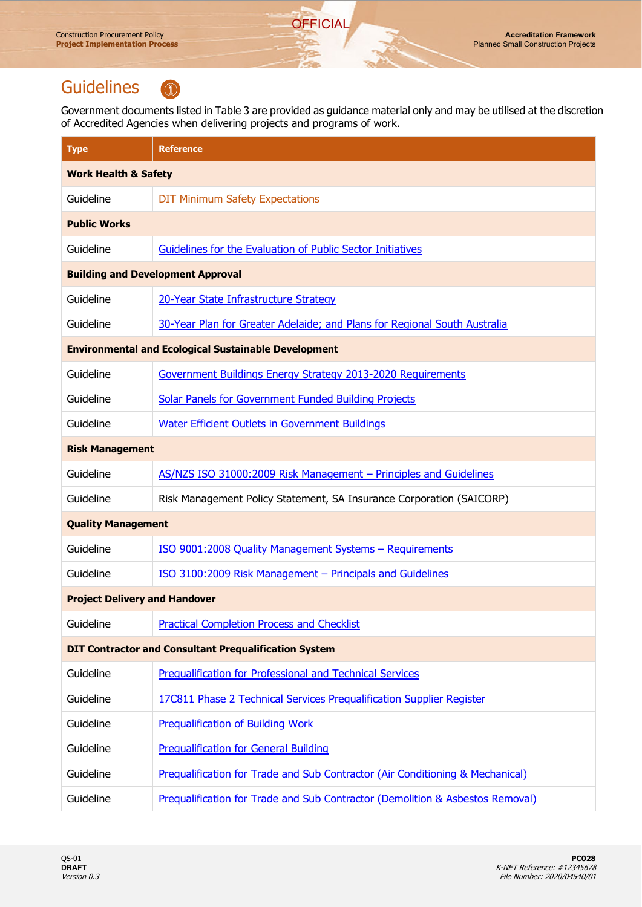## **Guidelines**



Government documents listed in Table 3 are provided as guidance material only and may be utilised at the discretion of Accredited Agencies when delivering projects and programs of work.

**OFFICIAL** 

| <b>Type</b>                                                  | <b>Reference</b>                                                              |  |
|--------------------------------------------------------------|-------------------------------------------------------------------------------|--|
| <b>Work Health &amp; Safety</b>                              |                                                                               |  |
| Guideline                                                    | <b>DIT Minimum Safety Expectations</b>                                        |  |
| <b>Public Works</b>                                          |                                                                               |  |
| Guideline                                                    | Guidelines for the Evaluation of Public Sector Initiatives                    |  |
| <b>Building and Development Approval</b>                     |                                                                               |  |
| Guideline                                                    | 20-Year State Infrastructure Strategy                                         |  |
| Guideline                                                    | 30-Year Plan for Greater Adelaide; and Plans for Regional South Australia     |  |
| <b>Environmental and Ecological Sustainable Development</b>  |                                                                               |  |
| Guideline                                                    | Government Buildings Energy Strategy 2013-2020 Requirements                   |  |
| Guideline                                                    | Solar Panels for Government Funded Building Projects                          |  |
| Guideline                                                    | <b>Water Efficient Outlets in Government Buildings</b>                        |  |
| <b>Risk Management</b>                                       |                                                                               |  |
| Guideline                                                    | AS/NZS ISO 31000:2009 Risk Management - Principles and Guidelines             |  |
| Guideline                                                    | Risk Management Policy Statement, SA Insurance Corporation (SAICORP)          |  |
| <b>Quality Management</b>                                    |                                                                               |  |
| Guideline                                                    | ISO 9001:2008 Quality Management Systems - Requirements                       |  |
| Guideline                                                    | ISO 3100:2009 Risk Management - Principals and Guidelines                     |  |
| <b>Project Delivery and Handover</b>                         |                                                                               |  |
| Guideline                                                    | <b>Practical Completion Process and Checklist</b>                             |  |
| <b>DIT Contractor and Consultant Prequalification System</b> |                                                                               |  |
| Guideline                                                    | Prequalification for Professional and Technical Services                      |  |
| Guideline                                                    | 17C811 Phase 2 Technical Services Prequalification Supplier Register          |  |
| Guideline                                                    | <b>Prequalification of Building Work</b>                                      |  |
| Guideline                                                    | <b>Prequalification for General Building</b>                                  |  |
| Guideline                                                    | Prequalification for Trade and Sub Contractor (Air Conditioning & Mechanical) |  |
| Guideline                                                    | Prequalification for Trade and Sub Contractor (Demolition & Asbestos Removal) |  |